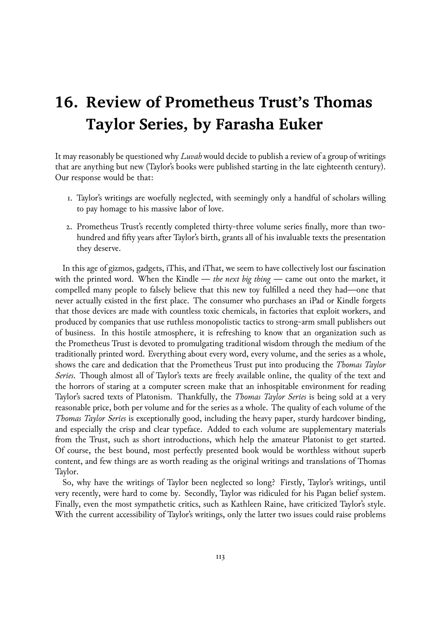## **16. Review of Prometheus Trust's Thomas Taylor Series, by Farasha Euker**

It may reasonably be questioned why *Luvah* would decide to publish a review of a group of writings that are anything but new (Taylor's books were published starting in the late eighteenth century). Our response would be that:

- 1. Taylor's writings are woefully neglected, with seemingly only a handful of scholars willing to pay homage to his massive labor of love.
- 2. Prometheus Trust's recently completed thirty-three volume series finally, more than twohundred and fifty years after Taylor's birth, grants all of his invaluable texts the presentation they deserve.

In this age of gizmos, gadgets, iThis, and iThat, we seem to have collectively lost our fascination with the printed word. When the Kindle — *the next big thing* — came out onto the market, it compelled many people to falsely believe that this new toy fulfilled a need they had—one that never actually existed in the first place. The consumer who purchases an iPad or Kindle forgets that those devices are made with countless toxic chemicals, in factories that exploit workers, and produced by companies that use ruthless monopolistic tactics to strong-arm small publishers out of business. In this hostile atmosphere, it is refreshing to know that an organization such as the Prometheus Trust is devoted to promulgating traditional wisdom through the medium of the traditionally printed word. Everything about every word, every volume, and the series as a whole, shows the care and dedication that the Prometheus Trust put into producing the *Thomas Taylor Series*. Though almost all of Taylor's texts are freely available online, the quality of the text and the horrors of staring at a computer screen make that an inhospitable environment for reading Taylor's sacred texts of Platonism. Thankfully, the *Thomas Taylor Series* is being sold at a very reasonable price, both per volume and for the series as a whole. The quality of each volume of the *Thomas Taylor Series* is exceptionally good, including the heavy paper, sturdy hardcover binding, and especially the crisp and clear typeface. Added to each volume are supplementary materials from the Trust, such as short introductions, which help the amateur Platonist to get started. Of course, the best bound, most perfectly presented book would be worthless without superb content, and few things are as worth reading as the original writings and translations of Thomas Taylor.

So, why have the writings of Taylor been neglected so long? Firstly, Taylor's writings, until very recently, were hard to come by. Secondly, Taylor was ridiculed for his Pagan belief system. Finally, even the most sympathetic critics, such as Kathleen Raine, have criticized Taylor's style. With the current accessibility of Taylor's writings, only the latter two issues could raise problems